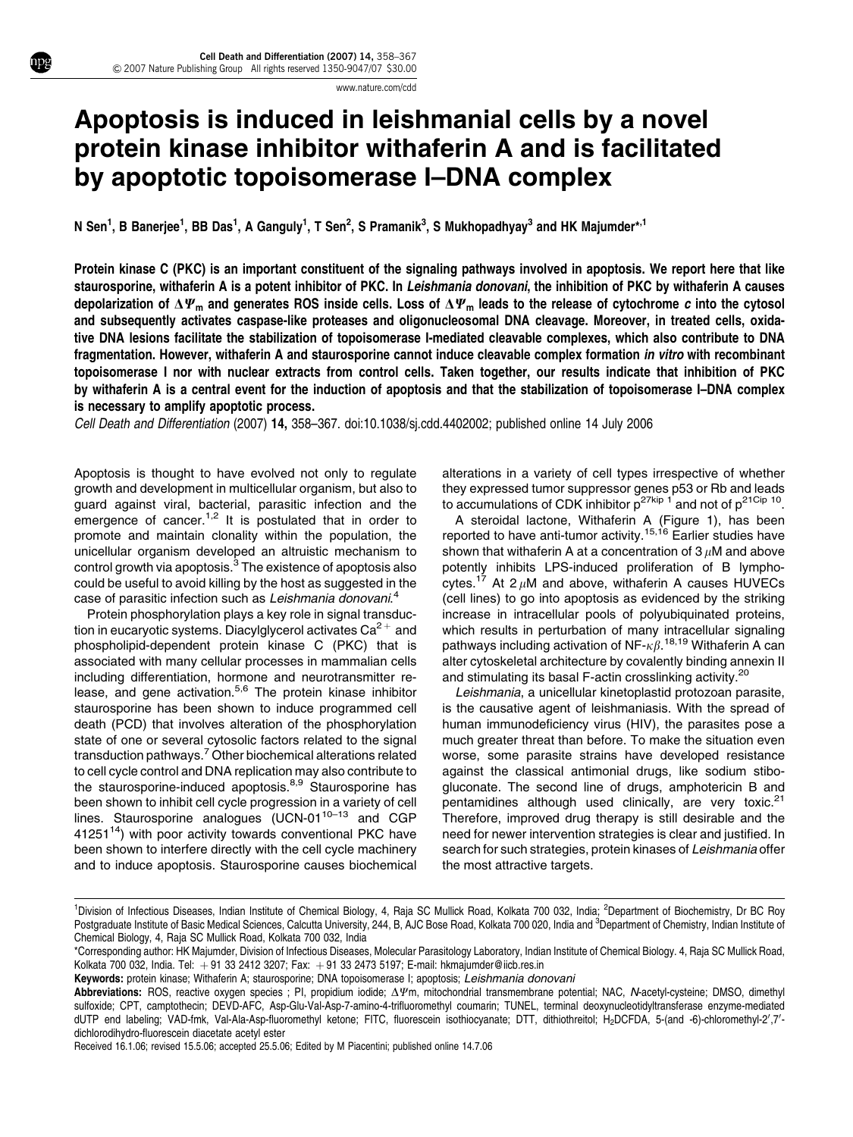www.nature.com/cdd

## Apoptosis is induced in leishmanial cells by a novel protein kinase inhibitor withaferin A and is facilitated by apoptotic topoisomerase I–DNA complex

N Sen<sup>1</sup>, B Banerjee<sup>1</sup>, BB Das<sup>1</sup>, A Ganguly<sup>1</sup>, T Sen<sup>2</sup>, S Pramanik<sup>3</sup>, S Mukhopadhyay<sup>3</sup> and HK Majumder\*<sup>,1</sup>

Protein kinase C (PKC) is an important constituent of the signaling pathways involved in apoptosis. We report here that like staurosporine, withaferin A is a potent inhibitor of PKC. In Leishmania donovani, the inhibition of PKC by withaferin A causes depolarization of  $\Delta\Psi_m$  and generates ROS inside cells. Loss of  $\Delta\Psi_m$  leads to the release of cytochrome c into the cytosol and subsequently activates caspase-like proteases and oligonucleosomal DNA cleavage. Moreover, in treated cells, oxidative DNA lesions facilitate the stabilization of topoisomerase I-mediated cleavable complexes, which also contribute to DNA fragmentation. However, withaferin A and staurosporine cannot induce cleavable complex formation in vitro with recombinant topoisomerase I nor with nuclear extracts from control cells. Taken together, our results indicate that inhibition of PKC by withaferin A is a central event for the induction of apoptosis and that the stabilization of topoisomerase I–DNA complex is necessary to amplify apoptotic process.

Cell Death and Differentiation (2007) 14, 358–367. doi:10.1038/sj.cdd.4402002; published online 14 July 2006

Apoptosis is thought to have evolved not only to regulate growth and development in multicellular organism, but also to guard against viral, bacterial, parasitic infection and the emergence of cancer.<sup>1,2</sup> It is postulated that in order to promote and maintain clonality within the population, the unicellular organism developed an altruistic mechanism to control growth via apoptosis.<sup>3</sup> The existence of apoptosis also could be useful to avoid killing by the host as suggested in the case of parasitic infection such as Leishmania donovani.<sup>4</sup>

Protein phosphorylation plays a key role in signal transduction in eucaryotic systems. Diacylglycerol activates  $Ca^{2+}$  and phospholipid-dependent protein kinase C (PKC) that is associated with many cellular processes in mammalian cells including differentiation, hormone and neurotransmitter release, and gene activation.<sup>5,6</sup> The protein kinase inhibitor staurosporine has been shown to induce programmed cell death (PCD) that involves alteration of the phosphorylation state of one or several cytosolic factors related to the signal transduction pathways.<sup>7</sup> Other biochemical alterations related to cell cycle control and DNA replication may also contribute to the staurosporine-induced apoptosis.<sup>8,9</sup> Staurosporine has been shown to inhibit cell cycle progression in a variety of cell lines. Staurosporine analogues  $U$ CN-01<sup>10–13</sup> and CGP 41251 $14$ ) with poor activity towards conventional PKC have been shown to interfere directly with the cell cycle machinery and to induce apoptosis. Staurosporine causes biochemical alterations in a variety of cell types irrespective of whether they expressed tumor suppressor genes p53 or Rb and leads to accumulations of CDK inhibitor  $p^{27kip 1}$  and not of  $p^{21Cip 10}$ .

A steroidal lactone, Withaferin A (Figure 1), has been reported to have anti-tumor activity.<sup>15,16</sup> Earlier studies have shown that withaferin A at a concentration of  $3 \mu$ M and above potently inhibits LPS-induced proliferation of B lymphocytes.<sup>17</sup> At 2  $\mu$ M and above, withaferin A causes HUVECs (cell lines) to go into apoptosis as evidenced by the striking increase in intracellular pools of polyubiquinated proteins, which results in perturbation of many intracellular signaling pathways including activation of NF- $\kappa\beta$ .<sup>18,19</sup> Withaferin A can alter cytoskeletal architecture by covalently binding annexin II and stimulating its basal F-actin crosslinking activity.<sup>20</sup>

Leishmania, a unicellular kinetoplastid protozoan parasite, is the causative agent of leishmaniasis. With the spread of human immunodeficiency virus (HIV), the parasites pose a much greater threat than before. To make the situation even worse, some parasite strains have developed resistance against the classical antimonial drugs, like sodium stibogluconate. The second line of drugs, amphotericin B and pentamidines although used clinically, are very toxic.<sup>21</sup> Therefore, improved drug therapy is still desirable and the need for newer intervention strategies is clear and justified. In search for such strategies, protein kinases of Leishmania offer the most attractive targets.

Received 16.1.06; revised 15.5.06; accepted 25.5.06; Edited by M Piacentini; published online 14.7.06

<sup>&</sup>lt;sup>1</sup>Division of Infectious Diseases, Indian Institute of Chemical Biology, 4, Raja SC Mullick Road, Kolkata 700 032, India; <sup>2</sup>Department of Biochemistry, Dr BC Roy Postgraduate Institute of Basic Medical Sciences, Calcutta University, 244, B, AJC Bose Road, Kolkata 700 020, India and <sup>3</sup>Department of Chemistry, Indian Institute of Chemical Biology, 4, Raja SC Mullick Road, Kolkata 700 032, India

<sup>\*</sup>Corresponding author: HK Majumder, Division of Infectious Diseases, Molecular Parasitology Laboratory, Indian Institute of Chemical Biology. 4, Raja SC Mullick Road, Kolkata 700 032, India. Tel: +91 33 2412 3207; Fax: +91 33 2473 5197; E-mail: hkmajumder@iicb.res.in

Keywords: protein kinase; Withaferin A; staurosporine; DNA topoisomerase I; apoptosis; Leishmania donovani

Abbreviations: ROS, reactive oxygen species ; PI, propidium iodide;  $\Delta \Psi$ m, mitochondrial transmembrane potential; NAC, N-acetyl-cysteine; DMSO, dimethyl sulfoxide; CPT, camptothecin; DEVD-AFC, Asp-Glu-Val-Asp-7-amino-4-trifluoromethyl coumarin; TUNEL, terminal deoxynucleotidyltransferase enzyme-mediated dUTP end labeling; VAD-fmk, Val-Ala-Asp-fluoromethyl ketone; FITC, fluorescein isothiocyanate; DTT, dithiothreitol; H<sub>2</sub>DCFDA, 5-(and -6)-chloromethyl-2',7'dichlorodihydro-fluorescein diacetate acetyl ester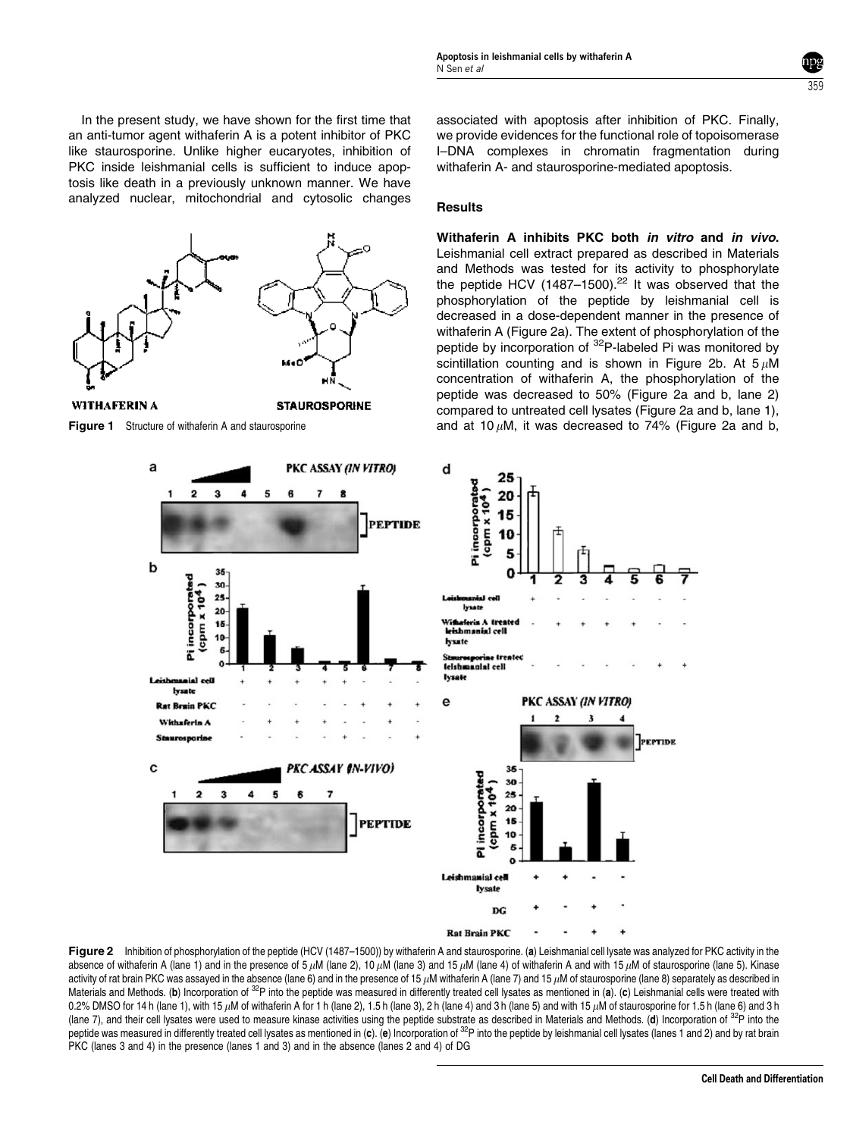In the present study, we have shown for the first time that an anti-tumor agent withaferin A is a potent inhibitor of PKC like staurosporine. Unlike higher eucaryotes, inhibition of PKC inside leishmanial cells is sufficient to induce apoptosis like death in a previously unknown manner. We have analyzed nuclear, mitochondrial and cytosolic changes



5 A

PKC ASSAY (IN VITRO)

8

PEPTIDE

 $\overline{z}$ 

 $\ddot{\mathbf{z}}$  $\overline{\mathbf{30}}$ 

 $20$ 

15

10

Pi incorporate cpm  $\times 10^4$  $28$ 

nanial cell boats

**Rat Brain PKC** Withsferin A Steurosporto

a

 $\mathbf b$ 

associated with apoptosis after inhibition of PKC. Finally, we provide evidences for the functional role of topoisomerase I–DNA complexes in chromatin fragmentation during withaferin A- and staurosporine-mediated apoptosis.

359

## **Results**

d

25

 $20$ 

10

Pi incorporated

Ivant

eferia /

hsate

e

leithmanial cell

rine freater Stauresporter Ire<br>Ielshaannial cell Iveste

PKC ASSAY (IN VITRO)

 $cpm \times 10^{4}$ 15

Withaferin A inhibits PKC both in vitro and in vivo. Leishmanial cell extract prepared as described in Materials and Methods was tested for its activity to phosphorylate the peptide HCV (1487–1500).<sup>22</sup> It was observed that the phosphorylation of the peptide by leishmanial cell is decreased in a dose-dependent manner in the presence of withaferin A (Figure 2a). The extent of phosphorylation of the peptide by incorporation of <sup>32</sup>P-labeled Pi was monitored by scintillation counting and is shown in Figure 2b. At  $5 \mu M$ concentration of withaferin A, the phosphorylation of the peptide was decreased to 50% (Figure 2a and b, lane 2) compared to untreated cell lysates (Figure 2a and b, lane 1), Figure 1 Structure of withaferin A and staurosporine and at 10  $\mu$ M, it was decreased to 74% (Figure 2a and b,

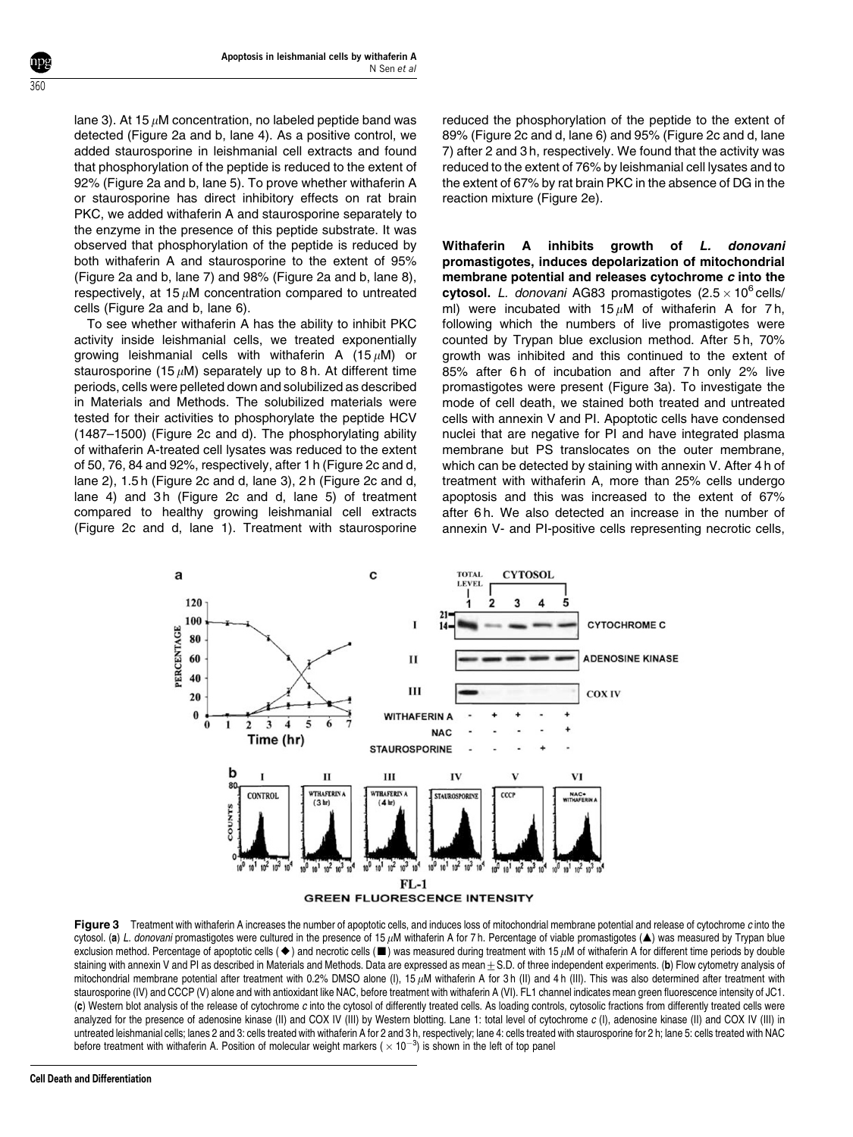lane 3). At 15  $\mu$ M concentration, no labeled peptide band was detected (Figure 2a and b, lane 4). As a positive control, we added staurosporine in leishmanial cell extracts and found that phosphorylation of the peptide is reduced to the extent of 92% (Figure 2a and b, lane 5). To prove whether withaferin A or staurosporine has direct inhibitory effects on rat brain PKC, we added withaferin A and staurosporine separately to the enzyme in the presence of this peptide substrate. It was observed that phosphorylation of the peptide is reduced by both withaferin A and staurosporine to the extent of 95% (Figure 2a and b, lane 7) and 98% (Figure 2a and b, lane 8), respectively, at 15  $\mu$ M concentration compared to untreated cells (Figure 2a and b, lane 6).

To see whether withaferin A has the ability to inhibit PKC activity inside leishmanial cells, we treated exponentially growing leishmanial cells with withaferin A (15 $\mu$ M) or staurosporine (15  $\mu$ M) separately up to 8 h. At different time periods, cells were pelleted down and solubilized as described in Materials and Methods. The solubilized materials were tested for their activities to phosphorylate the peptide HCV (1487–1500) (Figure 2c and d). The phosphorylating ability of withaferin A-treated cell lysates was reduced to the extent of 50, 76, 84 and 92%, respectively, after 1 h (Figure 2c and d, lane 2), 1.5 h (Figure 2c and d, lane 3), 2 h (Figure 2c and d, lane 4) and 3h (Figure 2c and d, lane 5) of treatment compared to healthy growing leishmanial cell extracts (Figure 2c and d, lane 1). Treatment with staurosporine

reduced the phosphorylation of the peptide to the extent of 89% (Figure 2c and d, lane 6) and 95% (Figure 2c and d, lane 7) after 2 and 3 h, respectively. We found that the activity was reduced to the extent of 76% by leishmanial cell lysates and to the extent of 67% by rat brain PKC in the absence of DG in the reaction mixture (Figure 2e).

Withaferin A inhibits growth of L. donovani promastigotes, induces depolarization of mitochondrial membrane potential and releases cytochrome c into the cytosol. L. donovani AG83 promastigotes  $(2.5 \times 10^6 \text{ cells})$ ml) were incubated with  $15 \mu M$  of withaferin A for 7h, following which the numbers of live promastigotes were counted by Trypan blue exclusion method. After 5 h, 70% growth was inhibited and this continued to the extent of 85% after 6h of incubation and after 7h only 2% live promastigotes were present (Figure 3a). To investigate the mode of cell death, we stained both treated and untreated cells with annexin V and PI. Apoptotic cells have condensed nuclei that are negative for PI and have integrated plasma membrane but PS translocates on the outer membrane, which can be detected by staining with annexin V. After 4 h of treatment with withaferin A, more than 25% cells undergo apoptosis and this was increased to the extent of 67% after 6h. We also detected an increase in the number of annexin V- and PI-positive cells representing necrotic cells,



Figure 3 Treatment with withaferin A increases the number of apoptotic cells, and induces loss of mitochondrial membrane potential and release of cytochrome c into the cytosol. (a) L. donovani promastigotes were cultured in the presence of 15  $\mu$ M withaferin A for 7 h. Percentage of viable promastigotes (A) was measured by Trypan blue exclusion method. Percentage of apoptotic cells ( $\blacklozenge$ ) and necrotic cells ( $\blacksquare$ ) was measured during treatment with 15  $\mu$ M of withaferin A for different time periods by double staining with annexin V and PI as described in Materials and Methods. Data are expressed as mean + S.D. of three independent experiments. (b) Flow cytometry analysis of mitochondrial membrane potential after treatment with 0.2% DMSO alone (I), 15  $\mu$ M withaferin A for 3 h (II) and 4 h (III). This was also determined after treatment with staurosporine (IV) and CCCP (V) alone and with antioxidant like NAC, before treatment with withaferin A (VI). FL1 channel indicates mean green fluorescence intensity of JC1. (c) Western blot analysis of the release of cytochrome c into the cytosol of differently treated cells. As loading controls, cytosolic fractions from differently treated cells were analyzed for the presence of adenosine kinase (II) and COX IV (III) by Western blotting. Lane 1: total level of cytochrome c (I), adenosine kinase (II) and COX IV (III) in untreated leishmanial cells; lanes 2 and 3: cells treated with withaferin A for 2 and 3 h, respectively; lane 4: cells treated with staurosporine for 2 h; lane 5: cells treated with NAC before treatment with withaferin A. Position of molecular weight markers ( $\times$  10<sup>-3</sup>) is shown in the left of top panel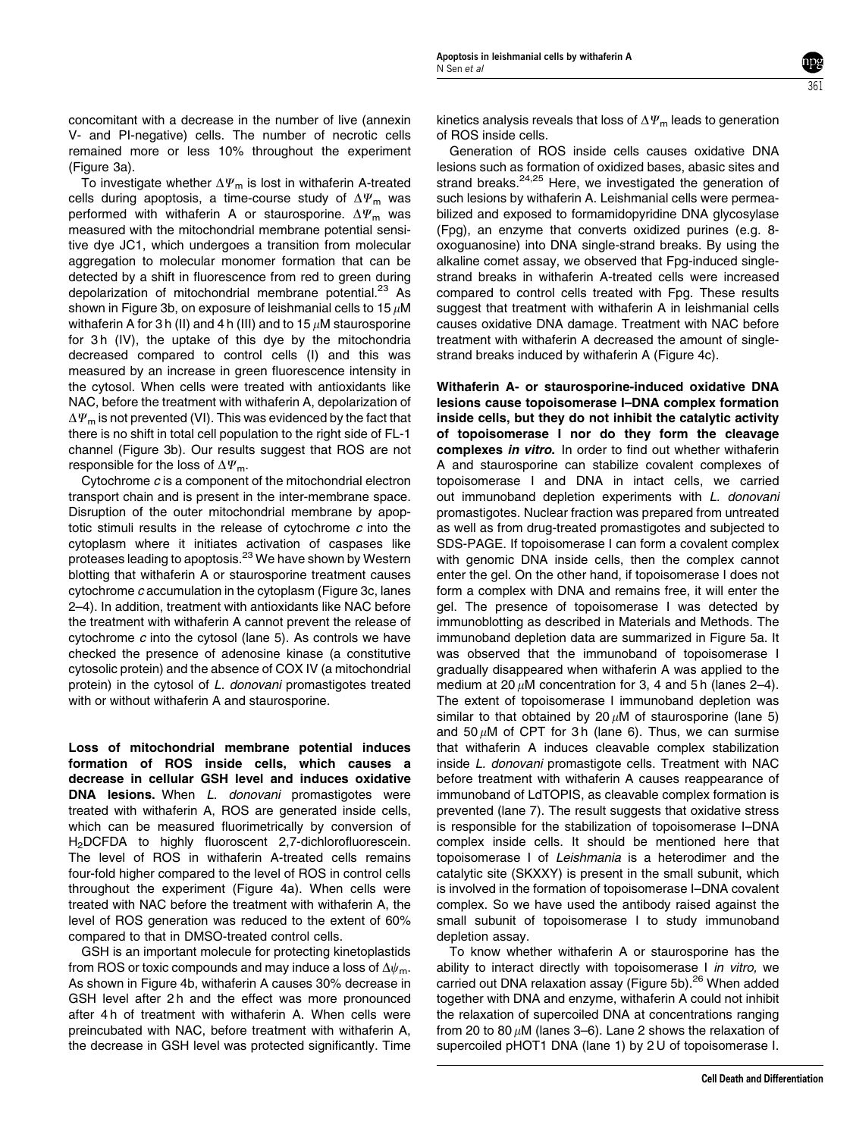361

concomitant with a decrease in the number of live (annexin V- and PI-negative) cells. The number of necrotic cells remained more or less 10% throughout the experiment (Figure 3a).

To investigate whether  $\Delta \Psi_m$  is lost in withaferin A-treated cells during apoptosis, a time-course study of  $\Delta \Psi_{\rm m}$  was performed with withaferin A or staurosporine.  $\Delta \Psi_{\text{m}}$  was measured with the mitochondrial membrane potential sensitive dye JC1, which undergoes a transition from molecular aggregation to molecular monomer formation that can be detected by a shift in fluorescence from red to green during depolarization of mitochondrial membrane potential.<sup>23</sup> As shown in Figure 3b, on exposure of leishmanial cells to 15  $\mu$ M withaferin A for 3 h (II) and 4 h (III) and to 15  $\mu$ M staurosporine for 3h (IV), the uptake of this dye by the mitochondria decreased compared to control cells (I) and this was measured by an increase in green fluorescence intensity in the cytosol. When cells were treated with antioxidants like NAC, before the treatment with withaferin A, depolarization of  $\Delta \Psi_m$  is not prevented (VI). This was evidenced by the fact that there is no shift in total cell population to the right side of FL-1 channel (Figure 3b). Our results suggest that ROS are not responsible for the loss of  $\Delta \Psi_{\rm m}$ .

Cytochrome c is a component of the mitochondrial electron transport chain and is present in the inter-membrane space. Disruption of the outer mitochondrial membrane by apoptotic stimuli results in the release of cytochrome  $c$  into the cytoplasm where it initiates activation of caspases like proteases leading to apoptosis.<sup>23</sup> We have shown by Western blotting that withaferin A or staurosporine treatment causes cytochrome c accumulation in the cytoplasm (Figure 3c, lanes 2–4). In addition, treatment with antioxidants like NAC before the treatment with withaferin A cannot prevent the release of cytochrome c into the cytosol (lane 5). As controls we have checked the presence of adenosine kinase (a constitutive cytosolic protein) and the absence of COX IV (a mitochondrial protein) in the cytosol of L. donovani promastigotes treated with or without withaferin A and staurosporine.

Loss of mitochondrial membrane potential induces formation of ROS inside cells, which causes a decrease in cellular GSH level and induces oxidative DNA lesions. When L. donovani promastigotes were treated with withaferin A, ROS are generated inside cells, which can be measured fluorimetrically by conversion of H<sub>2</sub>DCFDA to highly fluoroscent 2,7-dichlorofluorescein. The level of ROS in withaferin A-treated cells remains four-fold higher compared to the level of ROS in control cells throughout the experiment (Figure 4a). When cells were treated with NAC before the treatment with withaferin A, the level of ROS generation was reduced to the extent of 60% compared to that in DMSO-treated control cells.

GSH is an important molecule for protecting kinetoplastids from ROS or toxic compounds and may induce a loss of  $\Delta\psi_m$ . As shown in Figure 4b, withaferin A causes 30% decrease in GSH level after 2h and the effect was more pronounced after 4 h of treatment with withaferin A. When cells were preincubated with NAC, before treatment with withaferin A, the decrease in GSH level was protected significantly. Time

kinetics analysis reveals that loss of  $\Delta \Psi_{\rm m}$  leads to generation of ROS inside cells.

Generation of ROS inside cells causes oxidative DNA lesions such as formation of oxidized bases, abasic sites and strand breaks.<sup>24,25</sup> Here, we investigated the generation of such lesions by withaferin A. Leishmanial cells were permeabilized and exposed to formamidopyridine DNA glycosylase (Fpg), an enzyme that converts oxidized purines (e.g. 8 oxoguanosine) into DNA single-strand breaks. By using the alkaline comet assay, we observed that Fpg-induced singlestrand breaks in withaferin A-treated cells were increased compared to control cells treated with Fpg. These results suggest that treatment with withaferin A in leishmanial cells causes oxidative DNA damage. Treatment with NAC before treatment with withaferin A decreased the amount of singlestrand breaks induced by withaferin A (Figure 4c).

Withaferin A- or staurosporine-induced oxidative DNA lesions cause topoisomerase I–DNA complex formation inside cells, but they do not inhibit the catalytic activity of topoisomerase I nor do they form the cleavage complexes in vitro. In order to find out whether withaferin A and staurosporine can stabilize covalent complexes of topoisomerase I and DNA in intact cells, we carried out immunoband depletion experiments with L. donovani promastigotes. Nuclear fraction was prepared from untreated as well as from drug-treated promastigotes and subjected to SDS-PAGE. If topoisomerase I can form a covalent complex with genomic DNA inside cells, then the complex cannot enter the gel. On the other hand, if topoisomerase I does not form a complex with DNA and remains free, it will enter the gel. The presence of topoisomerase I was detected by immunoblotting as described in Materials and Methods. The immunoband depletion data are summarized in Figure 5a. It was observed that the immunoband of topoisomerase I gradually disappeared when withaferin A was applied to the medium at 20  $\mu$ M concentration for 3, 4 and 5 h (lanes 2–4). The extent of topoisomerase I immunoband depletion was similar to that obtained by 20  $\mu$ M of staurosporine (lane 5) and 50  $\mu$ M of CPT for 3 h (lane 6). Thus, we can surmise that withaferin A induces cleavable complex stabilization inside L. donovani promastigote cells. Treatment with NAC before treatment with withaferin A causes reappearance of immunoband of LdTOPIS, as cleavable complex formation is prevented (lane 7). The result suggests that oxidative stress is responsible for the stabilization of topoisomerase I–DNA complex inside cells. It should be mentioned here that topoisomerase I of Leishmania is a heterodimer and the catalytic site (SKXXY) is present in the small subunit, which is involved in the formation of topoisomerase I–DNA covalent complex. So we have used the antibody raised against the small subunit of topoisomerase I to study immunoband depletion assay.

To know whether withaferin A or staurosporine has the ability to interact directly with topoisomerase I in vitro, we carried out DNA relaxation assay (Figure 5b).<sup>26</sup> When added together with DNA and enzyme, withaferin A could not inhibit the relaxation of supercoiled DNA at concentrations ranging from 20 to 80  $\mu$ M (lanes 3–6). Lane 2 shows the relaxation of supercoiled pHOT1 DNA (lane 1) by 2 U of topoisomerase I.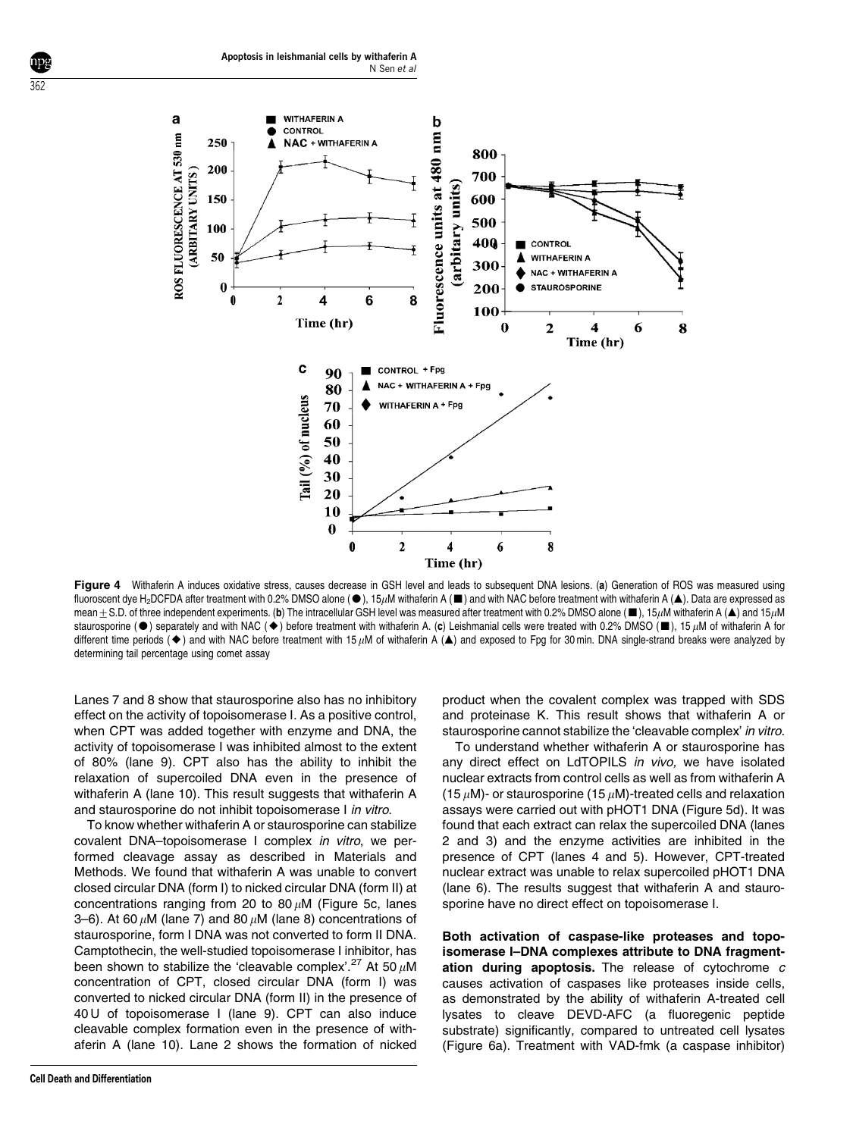

Figure 4 Withaferin A induces oxidative stress, causes decrease in GSH level and leads to subsequent DNA lesions. (a) Generation of ROS was measured using fluoroscent dye H<sub>2</sub>DCFDA after treatment with 0.2% DMSO alone ( $\bullet$ ), 15µM withaferin A ( $\blacksquare$ ) and with NAC before treatment with withaferin A ( $\blacktriangle$ ). Data are expressed as mean $\pm$ S.D. of three independent experiments. (b) The intracellular GSH level was measured after treatment with 0.2% DMSO alone ( $\blacksquare$ ), 15 $\mu$ M withaferin A ( $\blacktriangle$ ) and 15 $\mu$ M staurosporine ( $\bullet$ ) separately and with NAC ( $\bullet$ ) before treatment with withaferin A. (c) Leishmanial cells were treated with 0.2% DMSO ( $\blacksquare$ ), 15  $\mu$ M of withaferin A for different time periods ( $\blacklozenge$ ) and with NAC before treatment with 15  $\mu$ M of withaferin A ( $\blacktriangle$ ) and exposed to Fpg for 30 min. DNA single-strand breaks were analyzed by determining tail percentage using comet assay

Lanes 7 and 8 show that staurosporine also has no inhibitory effect on the activity of topoisomerase I. As a positive control, when CPT was added together with enzyme and DNA, the activity of topoisomerase I was inhibited almost to the extent of 80% (lane 9). CPT also has the ability to inhibit the relaxation of supercoiled DNA even in the presence of withaferin A (lane 10). This result suggests that withaferin A and staurosporine do not inhibit topoisomerase I in vitro.

To know whether withaferin A or staurosporine can stabilize covalent DNA–topoisomerase I complex in vitro, we performed cleavage assay as described in Materials and Methods. We found that withaferin A was unable to convert closed circular DNA (form I) to nicked circular DNA (form II) at concentrations ranging from 20 to 80  $\mu$ M (Figure 5c, lanes 3–6). At 60  $\mu$ M (lane 7) and 80  $\mu$ M (lane 8) concentrations of staurosporine, form I DNA was not converted to form II DNA. Camptothecin, the well-studied topoisomerase I inhibitor, has been shown to stabilize the 'cleavable complex'.<sup>27</sup> At 50  $\mu$ M concentration of CPT, closed circular DNA (form I) was converted to nicked circular DNA (form II) in the presence of 40 U of topoisomerase I (lane 9). CPT can also induce cleavable complex formation even in the presence of withaferin A (lane 10). Lane 2 shows the formation of nicked

product when the covalent complex was trapped with SDS and proteinase K. This result shows that withaferin A or staurosporine cannot stabilize the 'cleavable complex' in vitro.

To understand whether withaferin A or staurosporine has any direct effect on LdTOPILS in vivo, we have isolated nuclear extracts from control cells as well as from withaferin A (15  $\mu$ M)- or staurosporine (15  $\mu$ M)-treated cells and relaxation assays were carried out with pHOT1 DNA (Figure 5d). It was found that each extract can relax the supercoiled DNA (lanes 2 and 3) and the enzyme activities are inhibited in the presence of CPT (lanes 4 and 5). However, CPT-treated nuclear extract was unable to relax supercoiled pHOT1 DNA (lane 6). The results suggest that withaferin A and staurosporine have no direct effect on topoisomerase I.

Both activation of caspase-like proteases and topoisomerase I–DNA complexes attribute to DNA fragmentation during apoptosis. The release of cytochrome  $c$ causes activation of caspases like proteases inside cells, as demonstrated by the ability of withaferin A-treated cell lysates to cleave DEVD-AFC (a fluoregenic peptide substrate) significantly, compared to untreated cell lysates (Figure 6a). Treatment with VAD-fmk (a caspase inhibitor)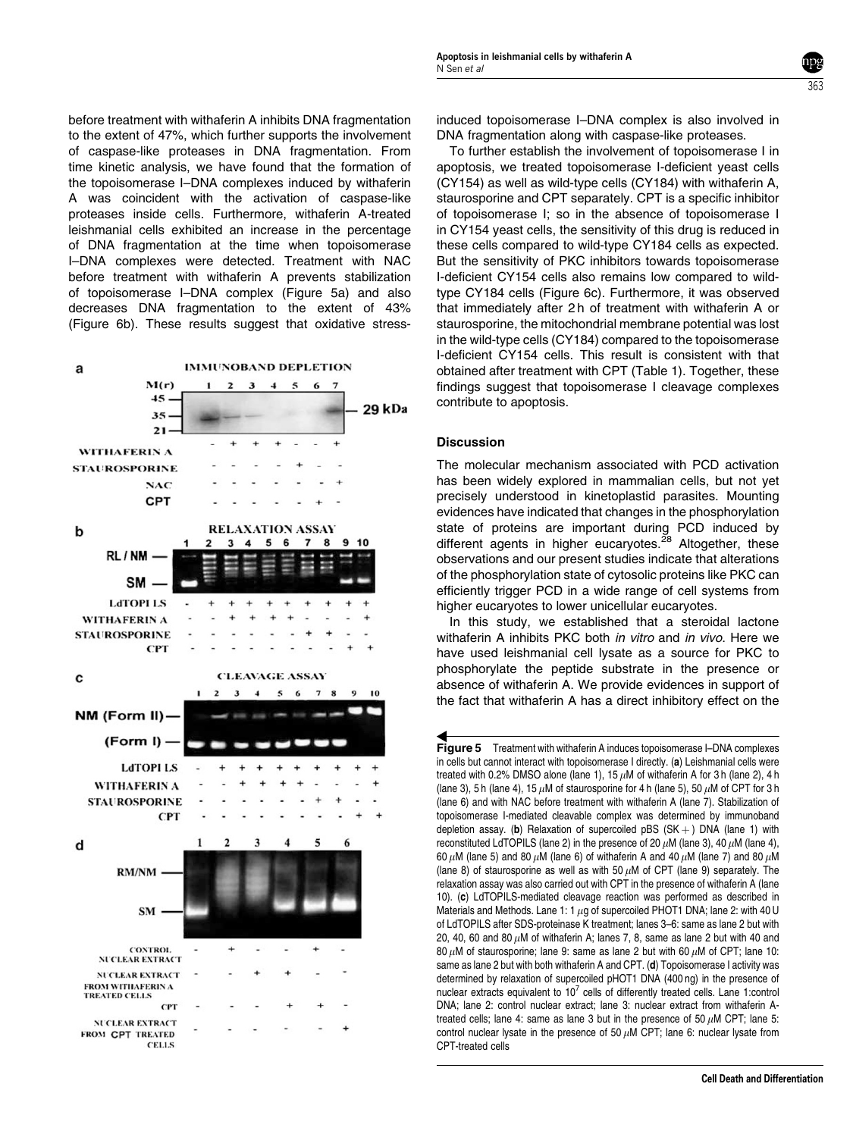before treatment with withaferin A inhibits DNA fragmentation to the extent of 47%, which further supports the involvement of caspase-like proteases in DNA fragmentation. From time kinetic analysis, we have found that the formation of the topoisomerase I–DNA complexes induced by withaferin A was coincident with the activation of caspase-like proteases inside cells. Furthermore, withaferin A-treated leishmanial cells exhibited an increase in the percentage of DNA fragmentation at the time when topoisomerase I–DNA complexes were detected. Treatment with NAC before treatment with withaferin A prevents stabilization of topoisomerase I–DNA complex (Figure 5a) and also decreases DNA fragmentation to the extent of 43% (Figure 6b). These results suggest that oxidative stress-



induced topoisomerase I–DNA complex is also involved in DNA fragmentation along with caspase-like proteases.

363

To further establish the involvement of topoisomerase I in apoptosis, we treated topoisomerase I-deficient yeast cells (CY154) as well as wild-type cells (CY184) with withaferin A, staurosporine and CPT separately. CPT is a specific inhibitor of topoisomerase I; so in the absence of topoisomerase I in CY154 yeast cells, the sensitivity of this drug is reduced in these cells compared to wild-type CY184 cells as expected. But the sensitivity of PKC inhibitors towards topoisomerase I-deficient CY154 cells also remains low compared to wildtype CY184 cells (Figure 6c). Furthermore, it was observed that immediately after 2 h of treatment with withaferin A or staurosporine, the mitochondrial membrane potential was lost in the wild-type cells (CY184) compared to the topoisomerase I-deficient CY154 cells. This result is consistent with that obtained after treatment with CPT (Table 1). Together, these findings suggest that topoisomerase I cleavage complexes contribute to apoptosis.

## **Discussion**

The molecular mechanism associated with PCD activation has been widely explored in mammalian cells, but not yet precisely understood in kinetoplastid parasites. Mounting evidences have indicated that changes in the phosphorylation state of proteins are important during PCD induced by different agents in higher eucaryotes. $^{28}$  Altogether, these observations and our present studies indicate that alterations of the phosphorylation state of cytosolic proteins like PKC can efficiently trigger PCD in a wide range of cell systems from higher eucaryotes to lower unicellular eucaryotes.

In this study, we established that a steroidal lactone withaferin A inhibits PKC both *in vitro* and *in vivo*. Here we have used leishmanial cell lysate as a source for PKC to phosphorylate the peptide substrate in the presence or absence of withaferin A. We provide evidences in support of the fact that withaferin A has a direct inhibitory effect on the

Figure 5 Treatment with withaferin A induces topoisomerase I–DNA complexes in cells but cannot interact with topoisomerase I directly. (a) Leishmanial cells were treated with 0.2% DMSO alone (lane 1), 15  $\mu$ M of withaferin A for 3 h (lane 2), 4 h (lane 3), 5 h (lane 4), 15  $\mu$ M of staurosporine for 4 h (lane 5), 50  $\mu$ M of CPT for 3 h (lane 6) and with NAC before treatment with withaferin A (lane 7). Stabilization of topoisomerase I-mediated cleavable complex was determined by immunoband depletion assay. (b) Relaxation of supercoiled pBS  $(SK +)$  DNA (lane 1) with reconstituted LdTOPILS (lane 2) in the presence of 20  $\mu$ M (lane 3), 40  $\mu$ M (lane 4), 60  $\mu$ M (lane 5) and 80  $\mu$ M (lane 6) of withaferin A and 40  $\mu$ M (lane 7) and 80  $\mu$ M (lane 8) of staurosporine as well as with 50  $\mu$ M of CPT (lane 9) separately. The relaxation assay was also carried out with CPT in the presence of withaferin A (lane 10). (c) LdTOPILS-mediated cleavage reaction was performed as described in Materials and Methods. Lane 1: 1  $\mu$ g of supercoiled PHOT1 DNA; lane 2: with 40 U of LdTOPILS after SDS-proteinase K treatment; lanes 3–6: same as lane 2 but with 20, 40, 60 and 80  $\mu$ M of withaferin A; lanes 7, 8, same as lane 2 but with 40 and 80  $\mu$ M of staurosporine; lane 9: same as lane 2 but with 60  $\mu$ M of CPT; lane 10: same as lane 2 but with both withaferin A and CPT. (d) Topoisomerase I activity was determined by relaxation of supercoiled pHOT1 DNA (400 ng) in the presence of nuclear extracts equivalent to  $10^7$  cells of differently treated cells. Lane 1:control DNA; lane 2: control nuclear extract; lane 3: nuclear extract from withaferin Atreated cells; lane 4: same as lane 3 but in the presence of 50  $\mu$ M CPT; lane 5: control nuclear lysate in the presence of 50  $\mu$ M CPT; lane 6: nuclear lysate from CPT-treated cells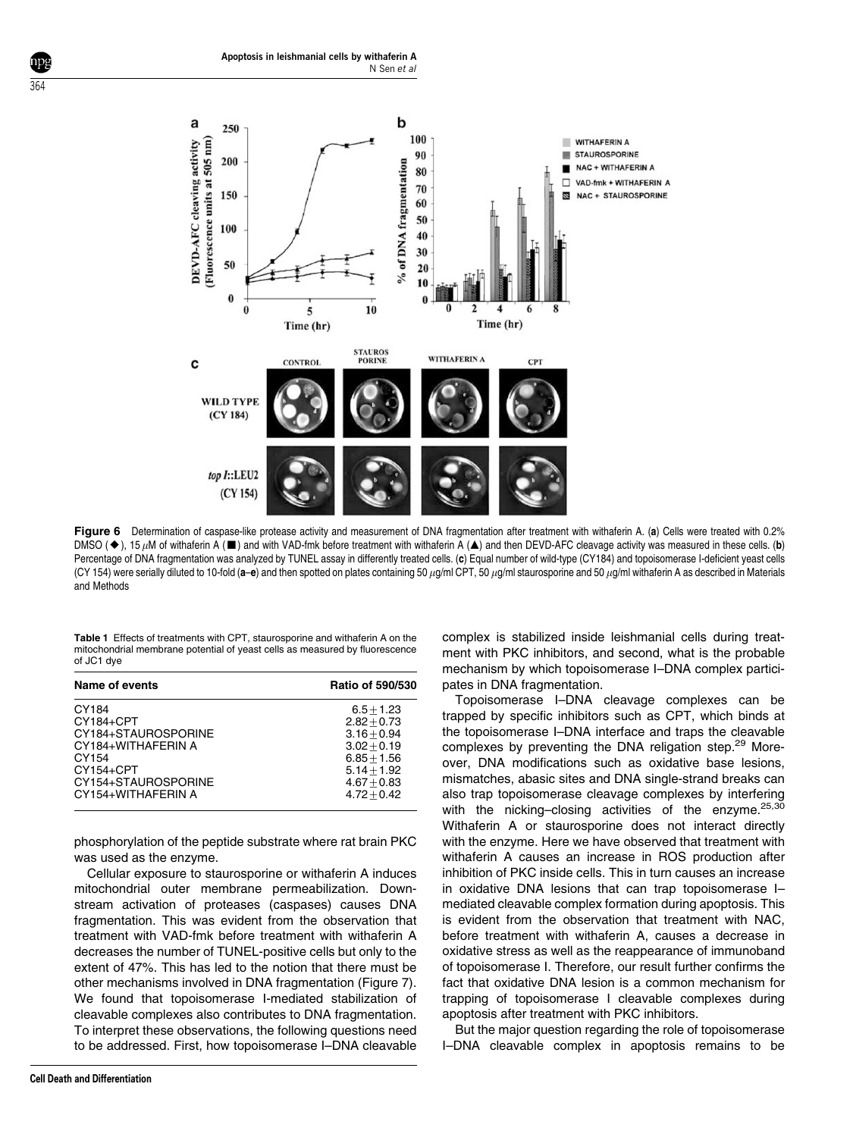

Figure 6 Determination of caspase-like protease activity and measurement of DNA fragmentation after treatment with withaferin A. (a) Cells were treated with 0.2% DMSO ( $\blacklozenge$ ), 15  $\mu$ M of withaferin A ( $\blacksquare$ ) and with VAD-fmk before treatment with withaferin A ( $\blacktriangle$ ) and then DEVD-AFC cleavage activity was measured in these cells. (b) Percentage of DNA fragmentation was analyzed by TUNEL assay in differently treated cells. (c) Equal number of wild-type (CY184) and topoisomerase I-deficient yeast cells (CY 154) were serially diluted to 10-fold (a-e) and then spotted on plates containing 50  $\mu$ g/ml CPT, 50  $\mu$ g/ml staurosporine and 50  $\mu$ g/ml withaferin A as described in Materials and Methods

Table 1 Effects of treatments with CPT, staurosporine and withaferin A on the mitochondrial membrane potential of yeast cells as measured by fluorescence of JC1 dye

| Name of events      | <b>Ratio of 590/530</b> |
|---------------------|-------------------------|
| CY184               | $6.5 + 1.23$            |
| CY184+CPT           | $2.82 + 0.73$           |
| CY184+STAUROSPORINE | $3.16 + 0.94$           |
| CY184+WITHAFERIN A  | $3.02 + 0.19$           |
| CY154               | $6.85 + 1.56$           |
| $CY154 + CPT$       | $5.14 + 1.92$           |
| CY154+STAUROSPORINE | $4.67 + 0.83$           |
| CY154+WITHAFERIN A  | $4.72 + 0.42$           |
|                     |                         |

phosphorylation of the peptide substrate where rat brain PKC was used as the enzyme.

Cellular exposure to staurosporine or withaferin A induces mitochondrial outer membrane permeabilization. Downstream activation of proteases (caspases) causes DNA fragmentation. This was evident from the observation that treatment with VAD-fmk before treatment with withaferin A decreases the number of TUNEL-positive cells but only to the extent of 47%. This has led to the notion that there must be other mechanisms involved in DNA fragmentation (Figure 7). We found that topoisomerase I-mediated stabilization of cleavable complexes also contributes to DNA fragmentation. To interpret these observations, the following questions need to be addressed. First, how topoisomerase I–DNA cleavable

complex is stabilized inside leishmanial cells during treatment with PKC inhibitors, and second, what is the probable mechanism by which topoisomerase I–DNA complex participates in DNA fragmentation.

Topoisomerase I–DNA cleavage complexes can be trapped by specific inhibitors such as CPT, which binds at the topoisomerase I–DNA interface and traps the cleavable complexes by preventing the DNA religation step.<sup>29</sup> Moreover, DNA modifications such as oxidative base lesions, mismatches, abasic sites and DNA single-strand breaks can also trap topoisomerase cleavage complexes by interfering with the nicking–closing activities of the enzyme.<sup>25,30</sup> Withaferin A or staurosporine does not interact directly with the enzyme. Here we have observed that treatment with withaferin A causes an increase in ROS production after inhibition of PKC inside cells. This in turn causes an increase in oxidative DNA lesions that can trap topoisomerase I– mediated cleavable complex formation during apoptosis. This is evident from the observation that treatment with NAC, before treatment with withaferin A, causes a decrease in oxidative stress as well as the reappearance of immunoband of topoisomerase I. Therefore, our result further confirms the fact that oxidative DNA lesion is a common mechanism for trapping of topoisomerase I cleavable complexes during apoptosis after treatment with PKC inhibitors.

But the major question regarding the role of topoisomerase I–DNA cleavable complex in apoptosis remains to be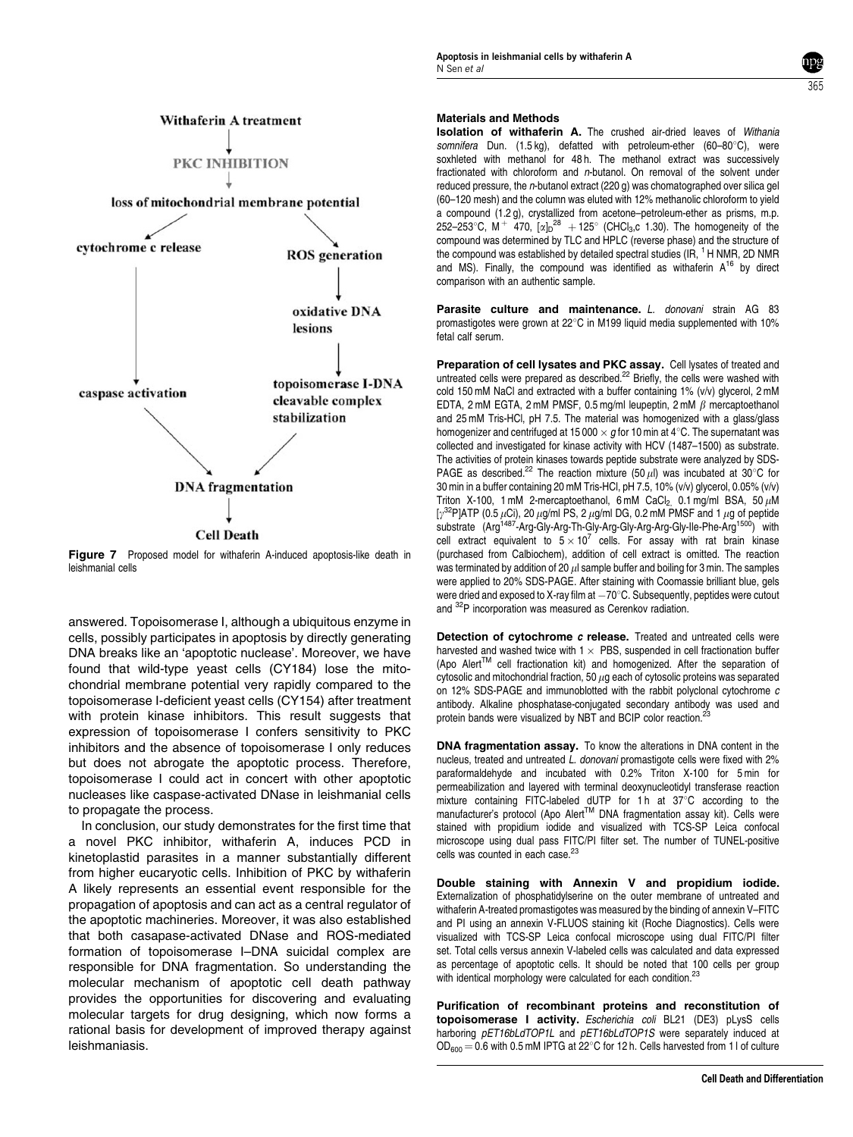

**Figure 7** Proposed model for withaferin A-induced apoptosis-like death in leishmanial cells

answered. Topoisomerase I, although a ubiquitous enzyme in cells, possibly participates in apoptosis by directly generating DNA breaks like an 'apoptotic nuclease'. Moreover, we have found that wild-type yeast cells (CY184) lose the mitochondrial membrane potential very rapidly compared to the topoisomerase I-deficient yeast cells (CY154) after treatment with protein kinase inhibitors. This result suggests that expression of topoisomerase I confers sensitivity to PKC inhibitors and the absence of topoisomerase I only reduces but does not abrogate the apoptotic process. Therefore, topoisomerase I could act in concert with other apoptotic nucleases like caspase-activated DNase in leishmanial cells to propagate the process.

In conclusion, our study demonstrates for the first time that a novel PKC inhibitor, withaferin A, induces PCD in kinetoplastid parasites in a manner substantially different from higher eucaryotic cells. Inhibition of PKC by withaferin A likely represents an essential event responsible for the propagation of apoptosis and can act as a central regulator of the apoptotic machineries. Moreover, it was also established that both casapase-activated DNase and ROS-mediated formation of topoisomerase I–DNA suicidal complex are responsible for DNA fragmentation. So understanding the molecular mechanism of apoptotic cell death pathway provides the opportunities for discovering and evaluating molecular targets for drug designing, which now forms a rational basis for development of improved therapy against leishmaniasis.

## Materials and Methods

Isolation of withaferin A. The crushed air-dried leaves of Withania somnifera Dun. (1.5 kg), defatted with petroleum-ether (60-80°C), were soxhleted with methanol for 48 h. The methanol extract was successively fractionated with chloroform and n-butanol. On removal of the solvent under reduced pressure, the  $n$ -butanol extract (220 g) was chomatographed over silica gel (60–120 mesh) and the column was eluted with 12% methanolic chloroform to yield a compound (1.2 g), crystallized from acetone–petroleum-ether as prisms, m.p. 252–253°C, M<sup>+</sup> 470,  $[\alpha]_D^{28}$  + 125° (CHCl<sub>3</sub>,c 1.30). The homogeneity of the compound was determined by TLC and HPLC (reverse phase) and the structure of the compound was established by detailed spectral studies (IR,  $1$  H NMR, 2D NMR and MS). Finally, the compound was identified as withaferin  $A^{16}$  by direct comparison with an authentic sample.

365

Parasite culture and maintenance. L. donovani strain AG 83 promastigotes were grown at 22°C in M199 liquid media supplemented with 10% fetal calf serum.

Preparation of cell lysates and PKC assay. Cell lysates of treated and untreated cells were prepared as described.<sup>22</sup> Briefly, the cells were washed with cold 150 mM NaCl and extracted with a buffer containing 1% (v/v) glycerol, 2 mM EDTA, 2 mM EGTA, 2 mM PMSF, 0.5 mg/ml leupeptin, 2 mM  $\beta$  mercaptoethanol and 25 mM Tris-HCl, pH 7.5. The material was homogenized with a glass/glass homogenizer and centrifuged at 15 000  $\times$  a for 10 min at 4°C. The supernatant was collected and investigated for kinase activity with HCV (1487–1500) as substrate. The activities of protein kinases towards peptide substrate were analyzed by SDS-PAGE as described.<sup>22</sup> The reaction mixture (50  $\mu$ l) was incubated at 30°C for 30 min in a buffer containing 20 mM Tris-HCl, pH 7.5, 10% (v/v) glycerol, 0.05% (v/v) Triton X-100, 1 mM 2-mercaptoethanol, 6 mM CaCl<sub>2</sub>, 0.1 mg/ml BSA, 50  $\mu$ M [ $\gamma^{32}$ P]ATP (0.5  $\mu$ Ci), 20  $\mu$ g/ml PS, 2  $\mu$ g/ml DG, 0.2 mM PMSF and 1  $\mu$ g of peptide substrate  $(Arg^{1487}$ -Arg-Gly-Arg-Th-Gly-Arg-Gly-Arg-Arg-Gly-Ile-Phe-Arg<sup>1500</sup>) with cell extract equivalent to  $5 \times 10^{7}$  cells. For assay with rat brain kinase (purchased from Calbiochem), addition of cell extract is omitted. The reaction was terminated by addition of 20  $\mu$  sample buffer and boiling for 3 min. The samples were applied to 20% SDS-PAGE. After staining with Coomassie brilliant blue, gels were dried and exposed to X-ray film at  $-70^{\circ}$ C. Subsequently, peptides were cutout and 32P incorporation was measured as Cerenkov radiation.

Detection of cytochrome c release. Treated and untreated cells were harvested and washed twice with  $1 \times$  PBS, suspended in cell fractionation buffer (Apo Alert<sup>TM</sup> cell fractionation kit) and homogenized. After the separation of cytosolic and mitochondrial fraction, 50  $\mu$ g each of cytosolic proteins was separated on 12% SDS-PAGE and immunoblotted with the rabbit polyclonal cytochrome c antibody. Alkaline phosphatase-conjugated secondary antibody was used and protein bands were visualized by NBT and BCIP color reaction.<sup>23</sup>

DNA fragmentation assay. To know the alterations in DNA content in the nucleus, treated and untreated L. donovani promastigote cells were fixed with 2% paraformaldehyde and incubated with 0.2% Triton X-100 for 5 min for permeabilization and layered with terminal deoxynucleotidyl transferase reaction mixture containing FITC-labeled dUTP for 1h at  $37^{\circ}$ C according to the manufacturer's protocol (Apo Alert™ DNA fragmentation assay kit). Cells were stained with propidium iodide and visualized with TCS-SP Leica confocal microscope using dual pass FITC/PI filter set. The number of TUNEL-positive cells was counted in each case.<sup>23</sup>

Double staining with Annexin V and propidium iodide. Externalization of phosphatidylserine on the outer membrane of untreated and withaferin A-treated promastigotes was measured by the binding of annexin V–FITC and PI using an annexin V-FLUOS staining kit (Roche Diagnostics). Cells were visualized with TCS-SP Leica confocal microscope using dual FITC/PI filter set. Total cells versus annexin V-labeled cells was calculated and data expressed as percentage of apoptotic cells. It should be noted that 100 cells per group with identical morphology were calculated for each condition.<sup>23</sup>

Purification of recombinant proteins and reconstitution of topoisomerase I activity. Escherichia coli BL21 (DE3) pLysS cells harboring pET16bLdTOP1L and pET16bLdTOP1S were separately induced at  $OD_{600} = 0.6$  with 0.5 mM IPTG at 22 °C for 12 h. Cells harvested from 1 l of culture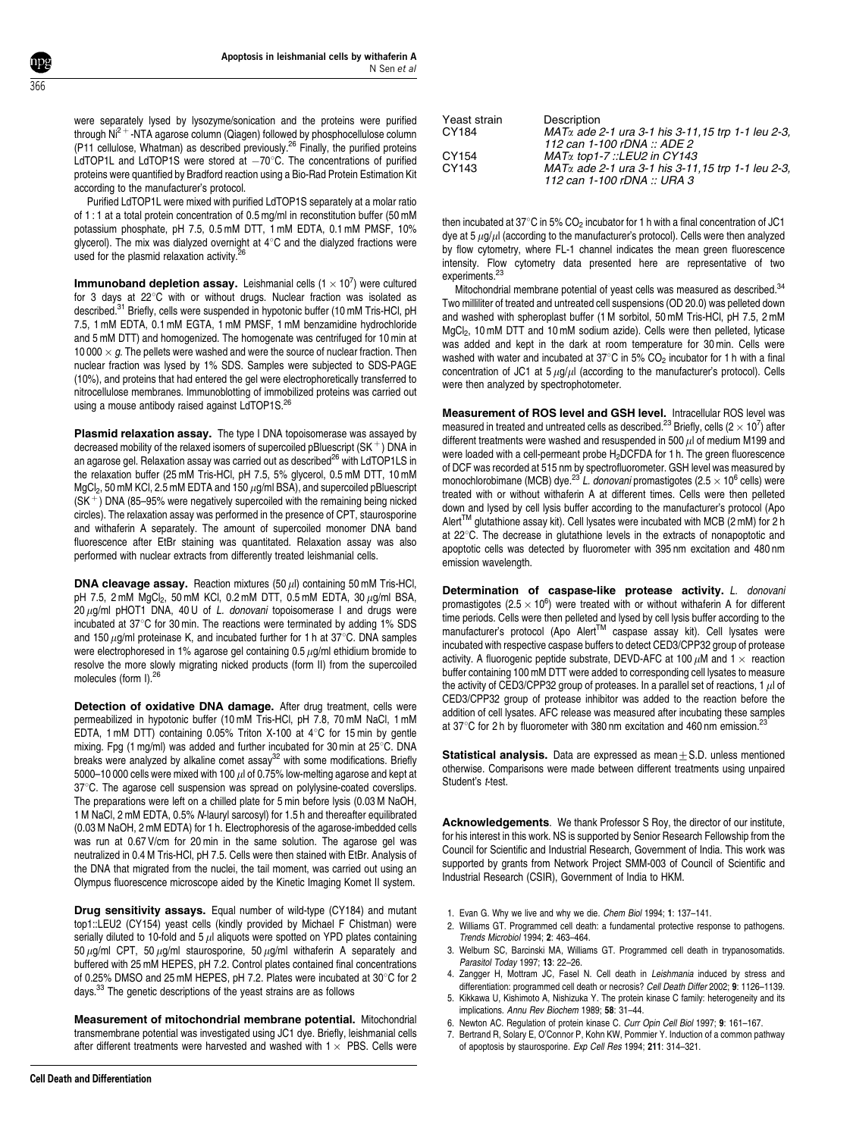were separately lysed by lysozyme/sonication and the proteins were purified through  $Ni<sup>2+</sup>$  -NTA agarose column (Qiagen) followed by phosphocellulose column (P11 cellulose, Whatman) as described previously.<sup>26</sup> Finally, the purified proteins LdTOP1L and LdTOP1S were stored at  $-70^{\circ}$ C. The concentrations of purified proteins were quantified by Bradford reaction using a Bio-Rad Protein Estimation Kit according to the manufacturer's protocol.

Purified LdTOP1L were mixed with purified LdTOP1S separately at a molar ratio of 1 : 1 at a total protein concentration of 0.5 mg/ml in reconstitution buffer (50 mM potassium phosphate, pH 7.5, 0.5 mM DTT, 1 mM EDTA, 0.1 mM PMSF, 10% glycerol). The mix was dialyzed overnight at  $4^\circ\text{C}$  and the dialyzed fractions were used for the plasmid relaxation activity.<sup>2</sup>

**Immunoband depletion assay.** Leishmanial cells  $(1 \times 10^7)$  were cultured for 3 days at  $22^{\circ}$ C with or without drugs. Nuclear fraction was isolated as described.<sup>31</sup> Briefly, cells were suspended in hypotonic buffer (10 mM Tris-HCl, pH 7.5, 1 mM EDTA, 0.1 mM EGTA, 1 mM PMSF, 1 mM benzamidine hydrochloride and 5 mM DTT) and homogenized. The homogenate was centrifuged for 10 min at 10 000  $\times$  a. The pellets were washed and were the source of nuclear fraction. Then nuclear fraction was lysed by 1% SDS. Samples were subjected to SDS-PAGE (10%), and proteins that had entered the gel were electrophoretically transferred to nitrocellulose membranes. Immunoblotting of immobilized proteins was carried out using a mouse antibody raised against LdTOP1S.<sup>26</sup>

Plasmid relaxation assay. The type I DNA topoisomerase was assayed by decreased mobility of the relaxed isomers of supercoiled pBluescript ( $SK^+$ ) DNA in an agarose gel. Relaxation assay was carried out as described<sup>26</sup> with LdTOP1LS in the relaxation buffer (25 mM Tris-HCl, pH 7.5, 5% glycerol, 0.5 mM DTT, 10 mM  $MgCl<sub>2</sub>$ , 50 mM KCl, 2.5 mM EDTA and 150  $\mu$ g/ml BSA), and supercoiled pBluescript  $(SK^+)$  DNA (85–95% were negatively supercoiled with the remaining being nicked circles). The relaxation assay was performed in the presence of CPT, staurosporine and withaferin A separately. The amount of supercoiled monomer DNA band fluorescence after EtBr staining was quantitated. Relaxation assay was also performed with nuclear extracts from differently treated leishmanial cells.

**DNA cleavage assay.** Reaction mixtures  $(50 \,\mu$ I) containing 50 mM Tris-HCl, pH 7.5, 2 mM  $MgCl_2$ , 50 mM KCl, 0.2 mM DTT, 0.5 mM EDTA, 30  $\mu$ g/ml BSA, 20  $\mu$ g/ml pHOT1 DNA, 40 U of L. donovani topoisomerase I and drugs were incubated at  $37^{\circ}$ C for 30 min. The reactions were terminated by adding 1% SDS and 150  $\mu$ g/ml proteinase K, and incubated further for 1 h at 37 $\degree$ C. DNA samples were electrophoresed in 1% agarose gel containing 0.5  $\mu$ g/ml ethidium bromide to resolve the more slowly migrating nicked products (form II) from the supercoiled molecules (form I).<sup>26</sup>

Detection of oxidative DNA damage. After drug treatment, cells were permeabilized in hypotonic buffer (10 mM Tris-HCl, pH 7.8, 70 mM NaCl, 1 mM EDTA, 1 mM DTT) containing 0.05% Triton X-100 at  $4^{\circ}$ C for 15 min by gentle mixing. Fpg (1 mg/ml) was added and further incubated for 30 min at  $25^{\circ}$ C. DNA breaks were analyzed by alkaline comet assay<sup>32</sup> with some modifications. Briefly 5000–10 000 cells were mixed with 100  $\mu$ l of 0.75% low-melting agarose and kept at 37°C. The agarose cell suspension was spread on polylysine-coated coverslips. The preparations were left on a chilled plate for 5 min before lysis (0.03 M NaOH, 1 M NaCl, 2 mM EDTA, 0.5% N-lauryl sarcosyl) for 1.5 h and thereafter equilibrated (0.03 M NaOH, 2 mM EDTA) for 1 h. Electrophoresis of the agarose-imbedded cells was run at 0.67 V/cm for 20 min in the same solution. The agarose gel was neutralized in 0.4 M Tris-HCl, pH 7.5. Cells were then stained with EtBr. Analysis of the DNA that migrated from the nuclei, the tail moment, was carried out using an Olympus fluorescence microscope aided by the Kinetic Imaging Komet II system.

Drug sensitivity assays. Equal number of wild-type (CY184) and mutant top1::LEU2 (CY154) yeast cells (kindly provided by Michael F Chistman) were serially diluted to 10-fold and 5  $\mu$ l aliquots were spotted on YPD plates containing 50  $\mu$ g/ml CPT, 50  $\mu$ g/ml staurosporine, 50  $\mu$ g/ml withaferin A separately and buffered with 25 mM HEPES, pH 7.2. Control plates contained final concentrations of 0.25% DMSO and 25 mM HEPES, pH 7.2. Plates were incubated at  $30^{\circ}$ C for 2 days.<sup>33</sup> The genetic descriptions of the yeast strains are as follows

Measurement of mitochondrial membrane potential. Mitochondrial transmembrane potential was investigated using JC1 dye. Briefly, leishmanial cells after different treatments were harvested and washed with  $1 \times PBS$ . Cells were

| Description                                                                              |
|------------------------------------------------------------------------------------------|
| $MAT\alpha$ ade 2-1 ura 3-1 his 3-11, 15 trp 1-1 leu 2-3,                                |
| 112 can 1-100 rDNA :: ADE 2                                                              |
| $MAT\alpha$ top 1-7 ::LEU2 in CY143                                                      |
| $MAT\alpha$ ade 2-1 ura 3-1 his 3-11, 15 trp 1-1 leu 2-3,<br>112 can 1-100 rDNA :: URA 3 |
|                                                                                          |

then incubated at 37 $\degree$ C in 5% CO<sub>2</sub> incubator for 1 h with a final concentration of JC1 dye at 5  $\mu$ g/ $\mu$ l (according to the manufacturer's protocol). Cells were then analyzed by flow cytometry, where FL-1 channel indicates the mean green fluorescence intensity. Flow cytometry data presented here are representative of two experiments.<sup>23</sup>

Mitochondrial membrane potential of yeast cells was measured as described.<sup>34</sup> Two milliliter of treated and untreated cell suspensions (OD 20.0) was pelleted down and washed with spheroplast buffer (1 M sorbitol, 50 mM Tris-HCl, pH 7.5, 2 mM MgCl<sub>2</sub>, 10 mM DTT and 10 mM sodium azide). Cells were then pelleted, lyticase was added and kept in the dark at room temperature for 30 min. Cells were washed with water and incubated at 37 $^{\circ}$ C in 5% CO<sub>2</sub> incubator for 1 h with a final concentration of JC1 at  $5 \mu g/\mu l$  (according to the manufacturer's protocol). Cells were then analyzed by spectrophotometer.

Measurement of ROS level and GSH level. Intracellular ROS level was measured in treated and untreated cells as described.<sup>23</sup> Briefly, cells (2  $\times$  10<sup>7</sup>) after different treatments were washed and resuspended in 500  $\mu$ l of medium M199 and were loaded with a cell-permeant probe H<sub>2</sub>DCFDA for 1 h. The green fluorescence of DCF was recorded at 515 nm by spectrofluorometer. GSH level was measured by monochlorobimane (MCB) dye.<sup>23</sup> L. donovani promastigotes (2.5  $\times$  10<sup>6</sup> cells) were treated with or without withaferin A at different times. Cells were then pelleted down and lysed by cell lysis buffer according to the manufacturer's protocol (Apo Alert<sup>TM</sup> glutathione assay kit). Cell lysates were incubated with MCB (2 mM) for 2 h at 22°C. The decrease in glutathione levels in the extracts of nonapoptotic and apoptotic cells was detected by fluorometer with 395 nm excitation and 480 nm emission wavelength.

Determination of caspase-like protease activity. L. donovani promastigotes (2.5  $\times$  10<sup>6</sup>) were treated with or without withaferin A for different time periods. Cells were then pelleted and lysed by cell lysis buffer according to the manufacturer's protocol (Apo Alert<sup>TM</sup> caspase assay kit). Cell lysates were incubated with respective caspase buffers to detect CED3/CPP32 group of protease activity. A fluorogenic peptide substrate, DEVD-AFC at 100  $\mu$ M and 1  $\times$  reaction buffer containing 100 mM DTT were added to corresponding cell lysates to measure the activity of CED3/CPP32 group of proteases. In a parallel set of reactions, 1  $\mu$ l of CED3/CPP32 group of protease inhibitor was added to the reaction before the addition of cell lysates. AFC release was measured after incubating these samples at 37 $\degree$ C for 2 h by fluorometer with 380 nm excitation and 460 nm emission.<sup>23</sup>

**Statistical analysis.** Data are expressed as mean $+S$ D. unless mentioned otherwise. Comparisons were made between different treatments using unpaired Student's t-test.

Acknowledgements. We thank Professor S Roy, the director of our institute, for his interest in this work. NS is supported by Senior Research Fellowship from the Council for Scientific and Industrial Research, Government of India. This work was supported by grants from Network Project SMM-003 of Council of Scientific and Industrial Research (CSIR), Government of India to HKM.

- 1. Evan G. Why we live and why we die. Chem Biol 1994; 1: 137–141.
- 2. Williams GT. Programmed cell death: a fundamental protective response to pathogens. Trends Microbiol 1994; 2: 463–464.
- 3. Welburn SC, Barcinski MA, Williams GT. Programmed cell death in trypanosomatids. Parasitol Today 1997; 13: 22–26.
- 4. Zangger H, Mottram JC, Fasel N. Cell death in Leishmania induced by stress and differentiation: programmed cell death or necrosis? Cell Death Differ 2002; 9: 1126–1139.
- 5. Kikkawa U, Kishimoto A, Nishizuka Y. The protein kinase C family: heterogeneity and its implications. Annu Rev Biochem 1989; 58: 31–44.
- 6. Newton AC. Regulation of protein kinase C. Curr Opin Cell Biol 1997; 9: 161–167.
- 7. Bertrand R, Solary E, O'Connor P, Kohn KW, Pommier Y. Induction of a common pathway of apoptosis by staurosporine. Exp Cell Res 1994; 211: 314–321.